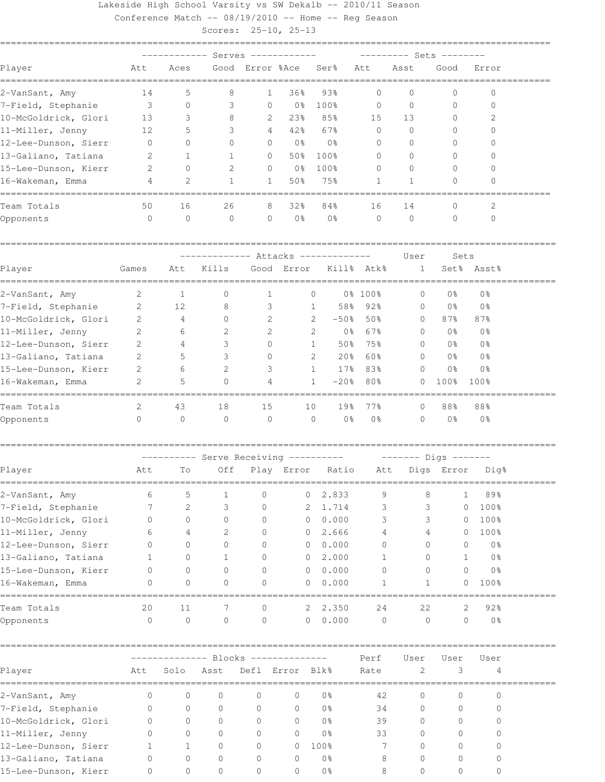Lakeside High School Varsity vs SW Dekalb -- 2010/11 Season Conference Match -- 08/19/2010 -- Home -- Reg Season

|                        |                                       |                                     | Scores: 25-10, 25-13 |                                  |                 |                           |                        |                                          |                |                |  |
|------------------------|---------------------------------------|-------------------------------------|----------------------|----------------------------------|-----------------|---------------------------|------------------------|------------------------------------------|----------------|----------------|--|
|                        |                                       |                                     |                      | ------------ Serves ------------ |                 |                           |                        | --------- Sets --------                  |                |                |  |
| Player                 | Att                                   | Aces                                |                      | Good Error %Ace                  |                 | Ser <sup>8</sup>          | Att                    | Asst                                     | Good           | Error          |  |
| 2-VanSant, Amy         | 14                                    | 5                                   | 8                    | 1                                | 36%             | 93%                       | $\mathbf{0}$           | $\Omega$                                 | 0              | $\mathbf{0}$   |  |
| 7-Field, Stephanie     | $\overline{\phantom{a}}$              | $\circ$                             | 3                    | $\circ$                          | 0 %             | 100%                      | 0                      | $\mathbf{0}$                             | $\mathbf{0}$   | $\mathbf{0}$   |  |
| 10-McGoldrick, Glori   | 13                                    | 3                                   | 8                    | 2                                | 23%             | 85%                       | 15                     | 13                                       | 0              | 2              |  |
| 11-Miller, Jenny       | 12                                    | 5                                   | 3                    | $4\overline{ }$                  | 42%             | 67%                       | $\mathbf{0}$           | $\mathbf{0}$                             | $\Omega$       | $\Omega$       |  |
| 12-Lee-Dunson, Sierr   | - 0                                   | $\Omega$                            | $\Omega$             | $\mathbf{0}$                     | 0 <sup>°</sup>  | 0 <sup>°</sup>            | $\mathbf 0$            | $\Omega$                                 | $\Omega$       | $\Omega$       |  |
| 13-Galiano, Tatiana    | 2                                     | 1                                   | 1                    | $\mathbf{0}$                     | 50%             | 100%                      | $\mathbf 0$            | $\Omega$                                 | $\Omega$       | $\Omega$       |  |
| 15-Lee-Dunson, Kierr   | 2                                     | $\circ$                             | 2                    | 0                                | 0 응             | 100%                      | 0                      | $\Omega$                                 | $\mathbf{0}$   | $\mathbf{0}$   |  |
| 16-Wakeman, Emma       | 4                                     | 2                                   | 1                    | 1                                | 50%             | 75%                       | 1                      | 1                                        | 0              | $\Omega$       |  |
| Team Totals            | 50                                    | 16                                  | 26                   | 8                                | 32%             | 84%                       | 16                     | 14                                       | $\mathbf{0}$   | 2              |  |
| Opponents              | $\circ$                               | $\circ$                             | $\mathbf{0}$         | 0                                | 0 <sup>°</sup>  | 0 <sup>°</sup>            | $\mathbf{0}$           | $\circ$                                  | $\mathbf{0}$   | $\mathbf{0}$   |  |
|                        |                                       | ------------- Attacks ------------- |                      |                                  |                 | User<br>Sets              |                        |                                          |                |                |  |
| Player                 | Games                                 | Att                                 | Kills                |                                  | Good Error      | Kill% Atk%                |                        | $\mathbf{1}$                             |                | Set% Asst%     |  |
| 2-VanSant, Amy         | 2                                     | 1                                   | 0                    | 1                                |                 | 0                         | 0% 100%                | 0                                        | 0 <sup>°</sup> | 0 <sup>°</sup> |  |
| 7-Field, Stephanie     | $\sim$ 2                              | 12                                  | 8                    | 3                                |                 | 58%<br>$\mathbf{1}$       | 92%                    | $\circ$                                  | 0 %            | 0 <sup>°</sup> |  |
| 10-McGoldrick, Glori 2 |                                       | 4                                   | $\mathbf{0}$         | 2                                |                 | $\mathbf{2}$<br>$-50%$    | 50%                    | $\circ$                                  | 87%            | 87%            |  |
| 11-Miller, Jenny       | 2                                     | 6                                   | 2                    | 2                                |                 | $\mathbf{2}$<br>0 %       | 67%                    | $\circ$                                  | 0 %            | 0%             |  |
| 12-Lee-Dunson, Sierr   | 2                                     | 4                                   | 3                    | $\mathbf{0}$                     |                 | 50%<br>$\mathbf{1}$       | 75%                    | $\circ$                                  | 0 %            | 0%             |  |
| 13-Galiano, Tatiana    | 2                                     | 5                                   | 3                    | $\Omega$                         |                 | $20\%$<br>2               | 60%                    | $\overline{0}$                           | 0 %            | 0 <sup>°</sup> |  |
| 15-Lee-Dunson, Kierr   | 2                                     | 6                                   | 2                    | 3                                |                 | $\mathbf{1}$<br>$17\%$    | 83%                    | $\Omega$                                 | 0 <sup>°</sup> | 0 <sup>°</sup> |  |
| 16-Wakeman, Emma       | 2                                     | 5                                   | $\Omega$             | 4                                |                 | $-20$ %<br>$\mathbf{1}$   | 80%                    | $\Omega$                                 | 100%           | 100%           |  |
| Team Totals            | 2                                     | 43                                  | 18                   | 15                               | 10              | 19%                       | 77%                    | $\mathbf{0}$                             | 88%            | 88%            |  |
| Opponents              | 0                                     | 0                                   | $\mathbf{0}$         | $\circ$                          |                 | 0 <sup>°</sup><br>$\circ$ | 0 <sup>°</sup>         | 0                                        | 0 <sub>8</sub> | 0 <sup>°</sup> |  |
|                        | ---------- Serve Receiving ---------- |                                     |                      |                                  |                 |                           | $------$ Digs $------$ |                                          |                |                |  |
| Player<br>$=$ $=$      | Att                                   | To                                  |                      |                                  |                 |                           |                        | Off Play Error Ratio Att Digs Error Dig% |                |                |  |
| 2-VanSant, Amy         | 6                                     | 5                                   | 1                    | 0                                | 0               | 2.833                     | 9                      | 8                                        | 1              | 89%            |  |
| 7-Field, Stephanie     | 7                                     | 2                                   | 3                    | 0                                |                 | 2 1.714                   | 3                      | 3                                        | $\circ$        | 100%           |  |
| 10-McGoldrick, Glori   | 0                                     | $\circ$                             | 0                    | 0                                | $\circ$         | 0.000                     | 3                      | 3                                        | 0              | 100%           |  |
| 11-Miller, Jenny       | 6                                     | 4                                   | 2                    | 0                                | $\overline{0}$  | 2.666                     | 4                      | 4                                        | 0              | 100%           |  |
| 12-Lee-Dunson, Sierr   | $\Omega$                              | 0                                   | 0                    | 0                                | $\mathbf{0}$    | 0.000                     | $\circ$                | 0                                        | 0              | 0 <sub>8</sub> |  |
| 13-Galiano, Tatiana    | 1                                     | 0                                   | 1                    | 0                                | $\circ$         | 2.000                     | 1                      | 0                                        | 1              | 0 <sup>°</sup> |  |
| 15-Lee-Dunson, Kierr   | 0                                     | 0                                   | 0                    | 0                                | $\overline{0}$  | 0.000                     | 0                      | 0                                        | $\circ$        | 0 <sub>8</sub> |  |
| 16-Wakeman, Emma       | $\Omega$                              | $\Omega$                            | $\Omega$             | $\Omega$                         | $\mathbf{0}$    | 0.000                     | 1                      | 1                                        | $\circ$        | 100%           |  |
| Team Totals            | 20                                    | 11                                  | 7                    | 0                                | 2               | 2.350                     | 24                     | 22                                       | 2              | 92%            |  |
| Opponents              | $\mathbf{0}$                          | $\circ$                             | 0                    | $\circ$                          | $\overline{0}$  | 0.000                     | $\circ$                | $\circ$                                  | $\circ$        | 0 <sub>8</sub> |  |
|                        |                                       |                                     | ----- Blocks ------  |                                  |                 |                           | Perf                   | User                                     | User           | User           |  |
| Player                 | Att                                   | Solo                                | Asst                 |                                  | Defl Error Blk% |                           | Rate                   | 2                                        | 3              | $\overline{4}$ |  |
| 2-VanSant, Amy         | 0                                     | $\circ$                             | 0                    | 0                                | 0               | 0 <sub>8</sub>            | 42                     | 0                                        | 0              | 0              |  |
| 7-Field, Stephanie     | 0                                     | 0                                   | 0                    | 0                                | 0               | 0 <sup>°</sup>            | 34                     | 0                                        | 0              | 0              |  |
| 10-McGoldrick, Glori   | 0                                     | 0                                   | 0                    | 0                                | 0               | 0 <sup>°</sup>            | 39                     | 0                                        | 0              | 0              |  |

11-Miller, Jenny 0 0 0 0 0 0 0% 33 0 0 0 12-Lee-Dunson, Sierr 1 1 0 0 0 100% 7 0 0 0 13-Galiano, Tatiana 0 0 0 0 0 0% 8 0 0 0 15-Lee-Dunson, Kierr 0 0 0 0 0 0% 8 0 0 0